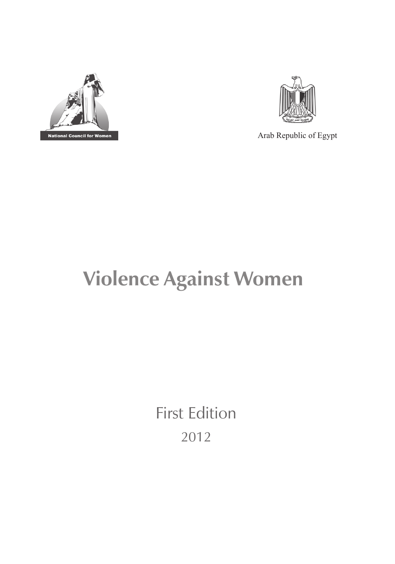



Arab Republic of Egypt

# **Violence Against Women**

First Edition 2012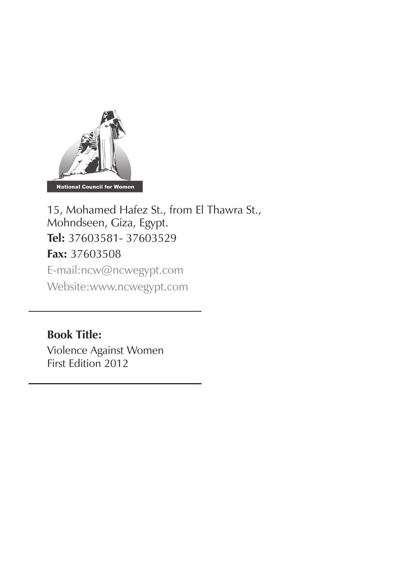

15, Mohamed Hafez St., from El Thawra St., Mohndseen, Giza, Egypt. **Tel:** 37603581- 37603529 **Fax:** 37603508 E-mail:ncw@ncwegypt.com Website:www.ncwegypt.com

**Book Title:**

Violence Against Women First Edition 2012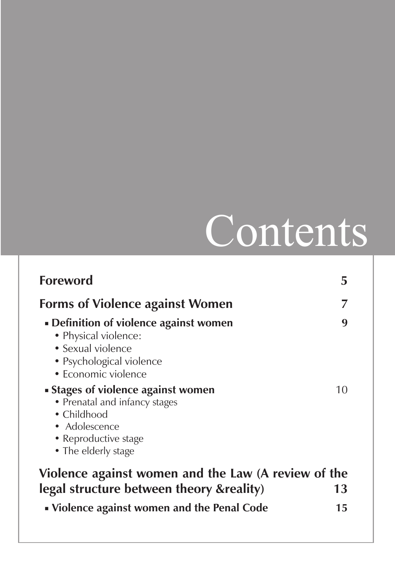# Contents

| <b>Foreword</b>                                                                                                                                            | 5        |  |  |
|------------------------------------------------------------------------------------------------------------------------------------------------------------|----------|--|--|
| <b>Forms of Violence against Women</b>                                                                                                                     |          |  |  |
| • Definition of violence against women<br>• Physical violence:<br>• Sexual violence<br>• Psychological violence<br>• Economic violence                     | q        |  |  |
| • Stages of violence against women<br>• Prenatal and infancy stages<br>$\bullet$ Childhood<br>• Adolescence<br>• Reproductive stage<br>• The elderly stage | 10       |  |  |
| Violence against women and the Law (A review of the                                                                                                        |          |  |  |
| legal structure between theory & reality)<br>• Violence against women and the Penal Code                                                                   | 13<br>15 |  |  |
|                                                                                                                                                            |          |  |  |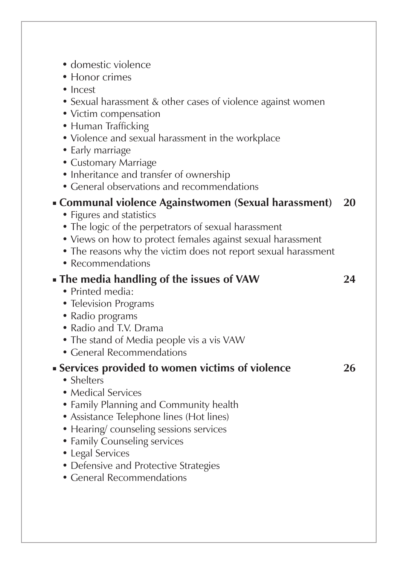| • domestic violence<br>• Honor crimes<br>$\bullet$ Incest<br>• Sexual harassment & other cases of violence against women<br>• Victim compensation<br>• Human Trafficking<br>• Violence and sexual harassment in the workplace<br>• Early marriage<br>• Customary Marriage<br>• Inheritance and transfer of ownership<br>• General observations and recommendations |    |
|--------------------------------------------------------------------------------------------------------------------------------------------------------------------------------------------------------------------------------------------------------------------------------------------------------------------------------------------------------------------|----|
| • Communal violence Againstwomen (Sexual harassment)                                                                                                                                                                                                                                                                                                               | 20 |
| • Figures and statistics<br>• The logic of the perpetrators of sexual harassment<br>• Views on how to protect females against sexual harassment<br>• The reasons why the victim does not report sexual harassment<br>• Recommendations                                                                                                                             |    |
| • The media handling of the issues of VAW                                                                                                                                                                                                                                                                                                                          | 24 |
| • Printed media:<br>• Television Programs<br>• Radio programs<br>· Radio and T.V. Drama<br>• The stand of Media people vis a vis VAW<br>• General Recommendations                                                                                                                                                                                                  |    |
| Services provided to women victims of violence                                                                                                                                                                                                                                                                                                                     | 26 |
| • Shelters<br>• Medical Services<br>• Family Planning and Community health<br>• Assistance Telephone lines (Hot lines)<br>• Hearing/counseling sessions services<br>• Family Counseling services<br>• Legal Services<br>• Defensive and Protective Strategies<br>• General Recommendations                                                                         |    |
|                                                                                                                                                                                                                                                                                                                                                                    |    |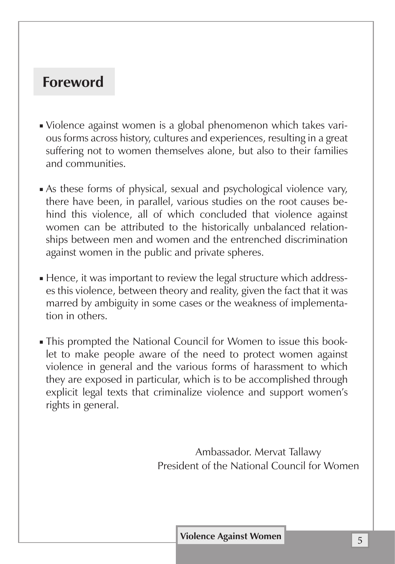# **Foreword**

- Violence against women is a global phenomenon which takes various forms across history, cultures and experiences, resulting in a great suffering not to women themselves alone, but also to their families and communities.
- As these forms of physical, sexual and psychological violence vary, there have been, in parallel, various studies on the root causes behind this violence, all of which concluded that violence against women can be attributed to the historically unbalanced relationships between men and women and the entrenched discrimination against women in the public and private spheres.
- Hence, it was important to review the legal structure which addresses this violence, between theory and reality, given the fact that it was marred by ambiguity in some cases or the weakness of implementation in others.
- This prompted the National Council for Women to issue this booklet to make people aware of the need to protect women against violence in general and the various forms of harassment to which they are exposed in particular, which is to be accomplished through explicit legal texts that criminalize violence and support women's rights in general.

Ambassador. Mervat Tallawy President of the National Council for Women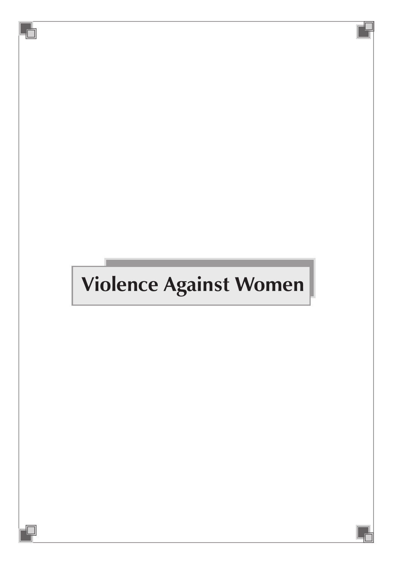# **Violence Against Women**

 $\overline{\mathbb{d}}$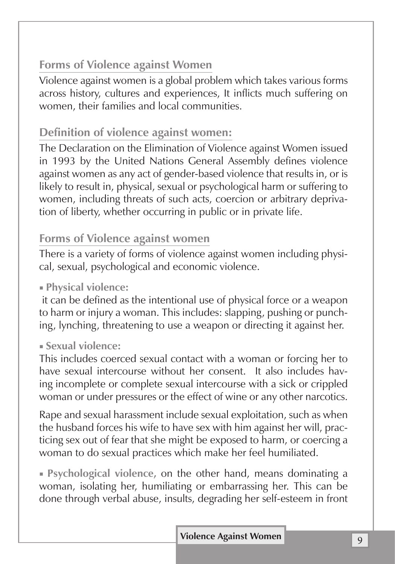# **Forms of Violence against Women**

Violence against women is a global problem which takes various forms across history, cultures and experiences, It inflicts much suffering on women, their families and local communities.

# **Definition of violence against women:**

The Declaration on the Elimination of Violence against Women issued in 1993 by the United Nations General Assembly defines violence against women as any act of gender-based violence that results in, or is likely to result in, physical, sexual or psychological harm or suffering to women, including threats of such acts, coercion or arbitrary deprivation of liberty, whether occurring in public or in private life.

## **Forms of Violence against women**

There is a variety of forms of violence against women including physical, sexual, psychological and economic violence.

### ■ **Physical violence:**

 it can be defined as the intentional use of physical force or a weapon to harm or injury a woman. This includes: slapping, pushing or punching, lynching, threatening to use a weapon or directing it against her.

#### ■ **Sexual violence:**

This includes coerced sexual contact with a woman or forcing her to have sexual intercourse without her consent. It also includes having incomplete or complete sexual intercourse with a sick or crippled woman or under pressures or the effect of wine or any other narcotics.

Rape and sexual harassment include sexual exploitation, such as when the husband forces his wife to have sex with him against her will, practicing sex out of fear that she might be exposed to harm, or coercing a woman to do sexual practices which make her feel humiliated.

■ **Psychological violence,** on the other hand, means dominating a woman, isolating her, humiliating or embarrassing her. This can be done through verbal abuse, insults, degrading her self-esteem in front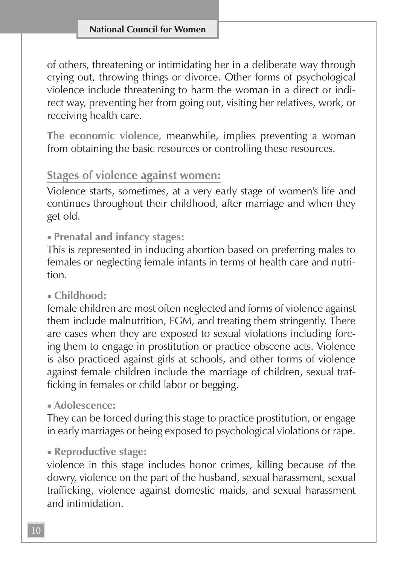of others, threatening or intimidating her in a deliberate way through crying out, throwing things or divorce. Other forms of psychological violence include threatening to harm the woman in a direct or indirect way, preventing her from going out, visiting her relatives, work, or receiving health care.

**The economic violence,** meanwhile, implies preventing a woman from obtaining the basic resources or controlling these resources.

#### **Stages of violence against women:**

Violence starts, sometimes, at a very early stage of women's life and continues throughout their childhood, after marriage and when they get old.

#### ■ **Prenatal and infancy stages:**

This is represented in inducing abortion based on preferring males to females or neglecting female infants in terms of health care and nutrition.

#### ■ **Childhood:**

female children are most often neglected and forms of violence against them include malnutrition, FGM, and treating them stringently. There are cases when they are exposed to sexual violations including forcing them to engage in prostitution or practice obscene acts. Violence is also practiced against girls at schools, and other forms of violence against female children include the marriage of children, sexual trafficking in females or child labor or begging.

#### ■ **Adolescence:**

They can be forced during this stage to practice prostitution, or engage in early marriages or being exposed to psychological violations or rape.

#### ■ **Reproductive stage:**

violence in this stage includes honor crimes, killing because of the dowry, violence on the part of the husband, sexual harassment, sexual trafficking, violence against domestic maids, and sexual harassment and intimidation.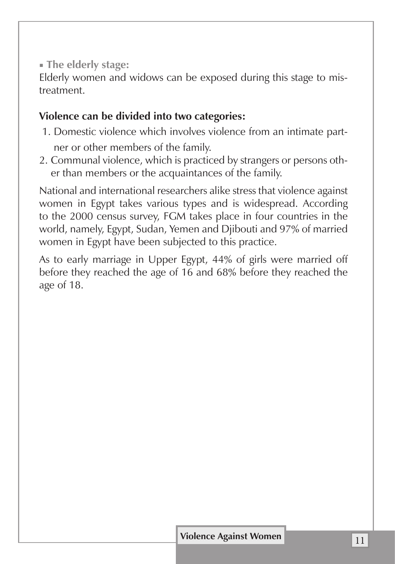■ **The elderly stage:**

Elderly women and widows can be exposed during this stage to mistreatment.

## **Violence can be divided into two categories:**

- 1. Domestic violence which involves violence from an intimate partner or other members of the family.
- 2. Communal violence, which is practiced by strangers or persons other than members or the acquaintances of the family.

National and international researchers alike stress that violence against women in Egypt takes various types and is widespread. According to the 2000 census survey, FGM takes place in four countries in the world, namely, Egypt, Sudan, Yemen and Djibouti and 97% of married women in Egypt have been subjected to this practice.

As to early marriage in Upper Egypt, 44% of girls were married off before they reached the age of 16 and 68% before they reached the age of 18.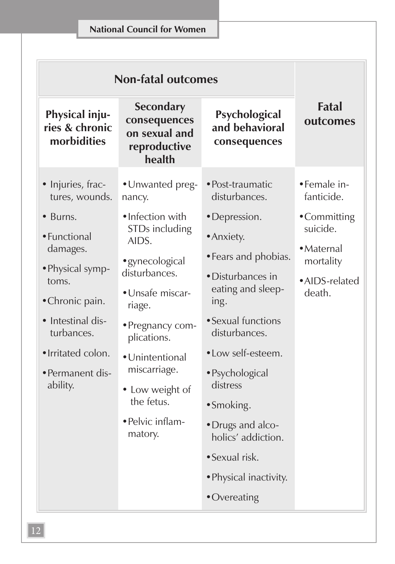#### **National Council for Women**

| <b>Non-fatal outcomes</b>                                                                                                                                                                     |                                                                                                                                                                                                                                                    |                                                                                                                                                                                                                                                                                                        |                                                                               |
|-----------------------------------------------------------------------------------------------------------------------------------------------------------------------------------------------|----------------------------------------------------------------------------------------------------------------------------------------------------------------------------------------------------------------------------------------------------|--------------------------------------------------------------------------------------------------------------------------------------------------------------------------------------------------------------------------------------------------------------------------------------------------------|-------------------------------------------------------------------------------|
| Physical inju-<br>ries & chronic<br>morbidities                                                                                                                                               | <b>Secondary</b><br>consequences<br>on sexual and<br>reproductive<br>health                                                                                                                                                                        | Psychological<br>and behavioral<br>consequences                                                                                                                                                                                                                                                        | <b>Fatal</b><br>outcomes                                                      |
| · Injuries, frac-<br>tures, wounds.                                                                                                                                                           | • Unwanted preg-<br>nancy.                                                                                                                                                                                                                         | · Post-traumatic<br>disturbances.                                                                                                                                                                                                                                                                      | • Female in-<br>fanticide.                                                    |
| $\bullet$ Burns.<br>· Functional<br>damages.<br>• Physical symp-<br>toms.<br>• Chronic pain.<br>• Intestinal dis-<br>turbances.<br>· Irritated colon.<br>$\bullet$ Permanent dis-<br>ability. | •Infection with<br>STDs including<br>AIDS.<br>• gynecological<br>disturbances.<br>• Unsafe miscar-<br>riage.<br>• Pregnancy com-<br>plications.<br>• Unintentional<br>miscarriage.<br>• Low weight of<br>the fetus.<br>• Pelvic inflam-<br>matory. | • Depression.<br>• Anxiety.<br>• Fears and phobias.<br>• Disturbances in<br>eating and sleep-<br>ing.<br>• Sexual functions<br>disturbances.<br>• Low self-esteem.<br>· Psychological<br>distress<br>• Smoking.<br>· Drugs and alco-<br>holics' addiction.<br>• Sexual risk.<br>• Physical inactivity. | •Committing<br>suicide.<br>· Maternal<br>mortality<br>•AIDS-related<br>death. |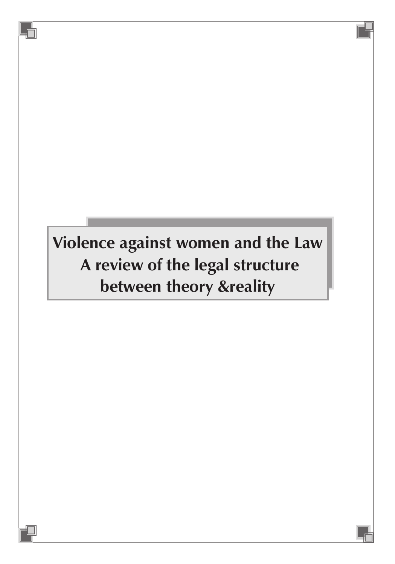# **Violence against women and the Law A review of the legal structure between theory &reality**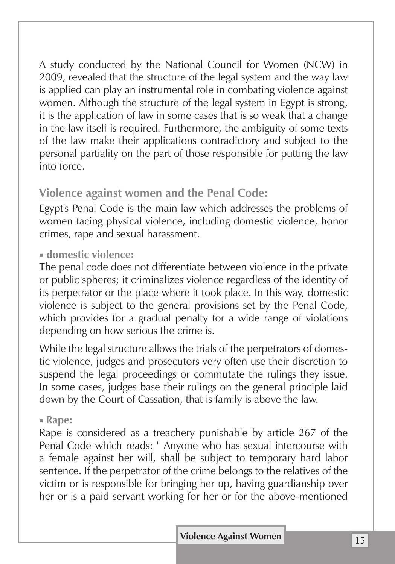A study conducted by the National Council for Women (NCW) in 2009, revealed that the structure of the legal system and the way law is applied can play an instrumental role in combating violence against women. Although the structure of the legal system in Egypt is strong, it is the application of law in some cases that is so weak that a change in the law itself is required. Furthermore, the ambiguity of some texts of the law make their applications contradictory and subject to the personal partiality on the part of those responsible for putting the law into force.

# **Violence against women and the Penal Code:**

Egypt's Penal Code is the main law which addresses the problems of women facing physical violence, including domestic violence, honor crimes, rape and sexual harassment.

#### ■ **domestic violence:**

The penal code does not differentiate between violence in the private or public spheres; it criminalizes violence regardless of the identity of its perpetrator or the place where it took place. In this way, domestic violence is subject to the general provisions set by the Penal Code, which provides for a gradual penalty for a wide range of violations depending on how serious the crime is.

While the legal structure allows the trials of the perpetrators of domestic violence, judges and prosecutors very often use their discretion to suspend the legal proceedings or commutate the rulings they issue. In some cases, judges base their rulings on the general principle laid down by the Court of Cassation, that is family is above the law.

#### ■ **Rape:**

Rape is considered as a treachery punishable by article 267 of the Penal Code which reads: " Anyone who has sexual intercourse with a female against her will, shall be subject to temporary hard labor sentence. If the perpetrator of the crime belongs to the relatives of the victim or is responsible for bringing her up, having guardianship over her or is a paid servant working for her or for the above-mentioned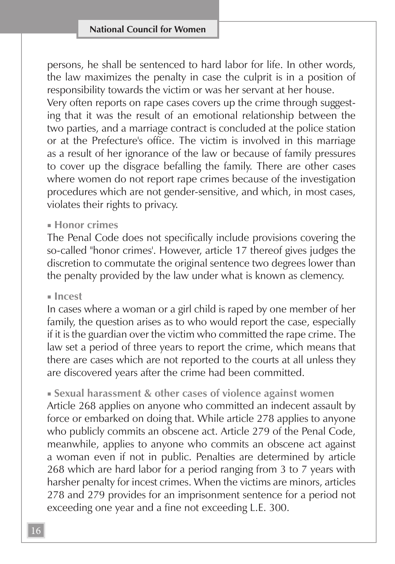persons, he shall be sentenced to hard labor for life. In other words, the law maximizes the penalty in case the culprit is in a position of responsibility towards the victim or was her servant at her house.

Very often reports on rape cases covers up the crime through suggesting that it was the result of an emotional relationship between the two parties, and a marriage contract is concluded at the police station or at the Prefecture's office. The victim is involved in this marriage as a result of her ignorance of the law or because of family pressures to cover up the disgrace befalling the family. There are other cases where women do not report rape crimes because of the investigation procedures which are not gender-sensitive, and which, in most cases, violates their rights to privacy.

#### ■ **Honor crimes**

The Penal Code does not specifically include provisions covering the so-called "honor crimes'. However, article 17 thereof gives judges the discretion to commutate the original sentence two degrees lower than the penalty provided by the law under what is known as clemency.

#### ■ **Incest**

In cases where a woman or a girl child is raped by one member of her family, the question arises as to who would report the case, especially if it is the guardian over the victim who committed the rape crime. The law set a period of three years to report the crime, which means that there are cases which are not reported to the courts at all unless they are discovered years after the crime had been committed.

■ **Sexual harassment & other cases of violence against women** Article 268 applies on anyone who committed an indecent assault by force or embarked on doing that. While article 278 applies to anyone who publicly commits an obscene act. Article 279 of the Penal Code, meanwhile, applies to anyone who commits an obscene act against a woman even if not in public. Penalties are determined by article 268 which are hard labor for a period ranging from 3 to 7 years with harsher penalty for incest crimes. When the victims are minors, articles 278 and 279 provides for an imprisonment sentence for a period not exceeding one year and a fine not exceeding L.E. 300.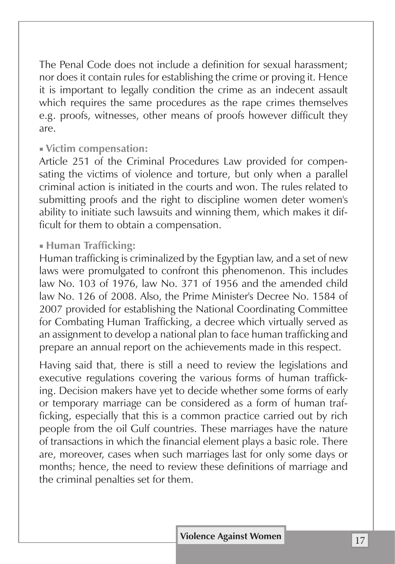The Penal Code does not include a definition for sexual harassment; nor does it contain rules for establishing the crime or proving it. Hence it is important to legally condition the crime as an indecent assault which requires the same procedures as the rape crimes themselves e.g. proofs, witnesses, other means of proofs however difficult they are.

#### ■ **Victim compensation:**

Article 251 of the Criminal Procedures Law provided for compensating the victims of violence and torture, but only when a parallel criminal action is initiated in the courts and won. The rules related to submitting proofs and the right to discipline women deter women's ability to initiate such lawsuits and winning them, which makes it difficult for them to obtain a compensation.

#### ■ **Human Trafficking:**

Human trafficking is criminalized by the Egyptian law, and a set of new laws were promulgated to confront this phenomenon. This includes law No. 103 of 1976, law No. 371 of 1956 and the amended child law No. 126 of 2008. Also, the Prime Minister's Decree No. 1584 of 2007 provided for establishing the National Coordinating Committee for Combating Human Trafficking, a decree which virtually served as an assignment to develop a national plan to face human trafficking and prepare an annual report on the achievements made in this respect.

Having said that, there is still a need to review the legislations and executive regulations covering the various forms of human trafficking. Decision makers have yet to decide whether some forms of early or temporary marriage can be considered as a form of human trafficking, especially that this is a common practice carried out by rich people from the oil Gulf countries. These marriages have the nature of transactions in which the financial element plays a basic role. There are, moreover, cases when such marriages last for only some days or months; hence, the need to review these definitions of marriage and the criminal penalties set for them.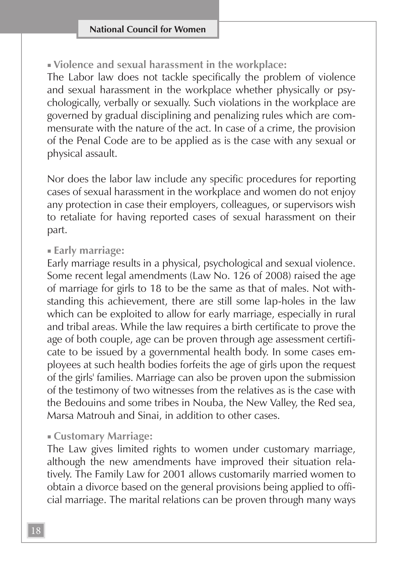■ **Violence and sexual harassment in the workplace:**

The Labor law does not tackle specifically the problem of violence and sexual harassment in the workplace whether physically or psychologically, verbally or sexually. Such violations in the workplace are governed by gradual disciplining and penalizing rules which are commensurate with the nature of the act. In case of a crime, the provision of the Penal Code are to be applied as is the case with any sexual or physical assault.

Nor does the labor law include any specific procedures for reporting cases of sexual harassment in the workplace and women do not enjoy any protection in case their employers, colleagues, or supervisors wish to retaliate for having reported cases of sexual harassment on their part.

#### ■ **Early marriage:**

Early marriage results in a physical, psychological and sexual violence. Some recent legal amendments (Law No. 126 of 2008) raised the age of marriage for girls to 18 to be the same as that of males. Not withstanding this achievement, there are still some lap-holes in the law which can be exploited to allow for early marriage, especially in rural and tribal areas. While the law requires a birth certificate to prove the age of both couple, age can be proven through age assessment certificate to be issued by a governmental health body. In some cases employees at such health bodies forfeits the age of girls upon the request of the girls' families. Marriage can also be proven upon the submission of the testimony of two witnesses from the relatives as is the case with the Bedouins and some tribes in Nouba, the New Valley, the Red sea, Marsa Matrouh and Sinai, in addition to other cases.

#### ■ **Customary Marriage:**

The Law gives limited rights to women under customary marriage, although the new amendments have improved their situation relatively. The Family Law for 2001 allows customarily married women to obtain a divorce based on the general provisions being applied to official marriage. The marital relations can be proven through many ways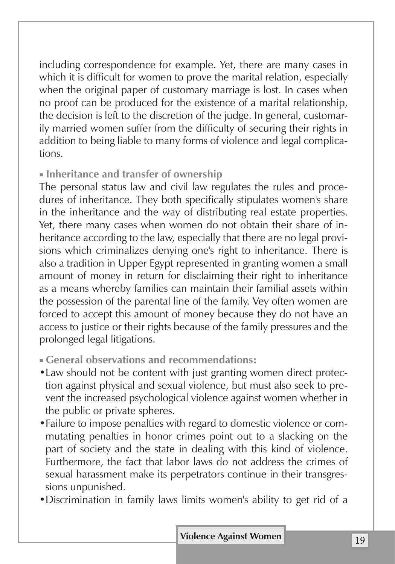including correspondence for example. Yet, there are many cases in which it is difficult for women to prove the marital relation, especially when the original paper of customary marriage is lost. In cases when no proof can be produced for the existence of a marital relationship, the decision is left to the discretion of the judge. In general, customarily married women suffer from the difficulty of securing their rights in addition to being liable to many forms of violence and legal complications.

#### ■ **Inheritance and transfer of ownership**

The personal status law and civil law regulates the rules and procedures of inheritance. They both specifically stipulates women's share in the inheritance and the way of distributing real estate properties. Yet, there many cases when women do not obtain their share of inheritance according to the law, especially that there are no legal provisions which criminalizes denying one's right to inheritance. There is also a tradition in Upper Egypt represented in granting women a small amount of money in return for disclaiming their right to inheritance as a means whereby families can maintain their familial assets within the possession of the parental line of the family. Vey often women are forced to accept this amount of money because they do not have an access to justice or their rights because of the family pressures and the prolonged legal litigations.

- **General observations and recommendations:**
- •Law should not be content with just granting women direct protection against physical and sexual violence, but must also seek to prevent the increased psychological violence against women whether in the public or private spheres.
- •Failure to impose penalties with regard to domestic violence or commutating penalties in honor crimes point out to a slacking on the part of society and the state in dealing with this kind of violence. Furthermore, the fact that labor laws do not address the crimes of sexual harassment make its perpetrators continue in their transgressions unpunished.
- •Discrimination in family laws limits women's ability to get rid of a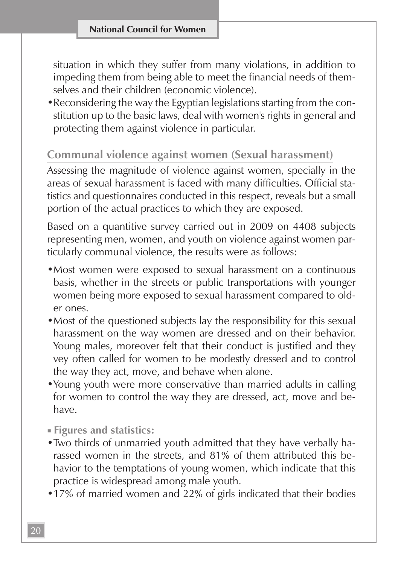situation in which they suffer from many violations, in addition to impeding them from being able to meet the financial needs of themselves and their children (economic violence).

•Reconsidering the way the Egyptian legislations starting from the constitution up to the basic laws, deal with women's rights in general and protecting them against violence in particular.

#### **Communal violence against women (Sexual harassment)**

Assessing the magnitude of violence against women, specially in the areas of sexual harassment is faced with many difficulties. Official statistics and questionnaires conducted in this respect, reveals but a small portion of the actual practices to which they are exposed.

Based on a quantitive survey carried out in 2009 on 4408 subjects representing men, women, and youth on violence against women particularly communal violence, the results were as follows:

- •Most women were exposed to sexual harassment on a continuous basis, whether in the streets or public transportations with younger women being more exposed to sexual harassment compared to older ones.
- Most of the questioned subjects lay the responsibility for this sexual harassment on the way women are dressed and on their behavior. Young males, moreover felt that their conduct is justified and they vey often called for women to be modestly dressed and to control the way they act, move, and behave when alone.
- •Young youth were more conservative than married adults in calling for women to control the way they are dressed, act, move and behave.
- **Figures and statistics:**
- •Two thirds of unmarried youth admitted that they have verbally harassed women in the streets, and 81% of them attributed this behavior to the temptations of young women, which indicate that this practice is widespread among male youth.
- •17% of married women and 22% of girls indicated that their bodies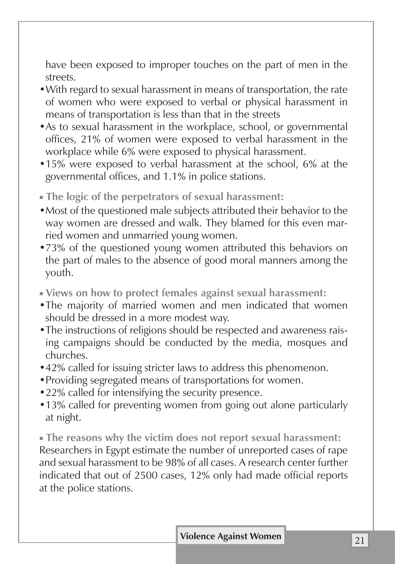have been exposed to improper touches on the part of men in the streets.

- •With regard to sexual harassment in means of transportation, the rate of women who were exposed to verbal or physical harassment in means of transportation is less than that in the streets
- •As to sexual harassment in the workplace, school, or governmental offices, 21% of women were exposed to verbal harassment in the workplace while 6% were exposed to physical harassment.
- •15% were exposed to verbal harassment at the school, 6% at the governmental offices, and 1.1% in police stations.
- **The logic of the perpetrators of sexual harassment:**
- •Most of the questioned male subjects attributed their behavior to the way women are dressed and walk. They blamed for this even married women and unmarried young women.
- •73% of the questioned young women attributed this behaviors on the part of males to the absence of good moral manners among the youth.
- **Views on how to protect females against sexual harassment:**
- •The majority of married women and men indicated that women should be dressed in a more modest way.
- •The instructions of religions should be respected and awareness raising campaigns should be conducted by the media, mosques and churches.
- •42% called for issuing stricter laws to address this phenomenon.
- •Providing segregated means of transportations for women.
- •22% called for intensifying the security presence.
- •13% called for preventing women from going out alone particularly at night.

■ **The reasons why the victim does not report sexual harassment:** Researchers in Egypt estimate the number of unreported cases of rape and sexual harassment to be 98% of all cases. A research center further indicated that out of 2500 cases, 12% only had made official reports at the police stations.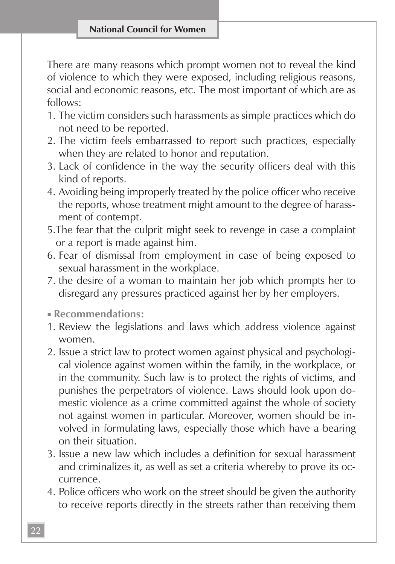There are many reasons which prompt women not to reveal the kind of violence to which they were exposed, including religious reasons, social and economic reasons, etc. The most important of which are as follows:

- 1. The victim considers such harassments as simple practices which do not need to be reported.
- 2. The victim feels embarrassed to report such practices, especially when they are related to honor and reputation.
- 3. Lack of confidence in the way the security officers deal with this kind of reports.
- 4. Avoiding being improperly treated by the police officer who receive the reports, whose treatment might amount to the degree of harassment of contempt.
- 5.The fear that the culprit might seek to revenge in case a complaint or a report is made against him.
- 6. Fear of dismissal from employment in case of being exposed to sexual harassment in the workplace.
- 7. the desire of a woman to maintain her job which prompts her to disregard any pressures practiced against her by her employers.

■ **Recommendations:**

- 1. Review the legislations and laws which address violence against women.
- 2. Issue a strict law to protect women against physical and psychological violence against women within the family, in the workplace, or in the community. Such law is to protect the rights of victims, and punishes the perpetrators of violence. Laws should look upon domestic violence as a crime committed against the whole of society not against women in particular. Moreover, women should be involved in formulating laws, especially those which have a bearing on their situation.
- 3. Issue a new law which includes a definition for sexual harassment and criminalizes it, as well as set a criteria whereby to prove its occurrence.
- 4. Police officers who work on the street should be given the authority to receive reports directly in the streets rather than receiving them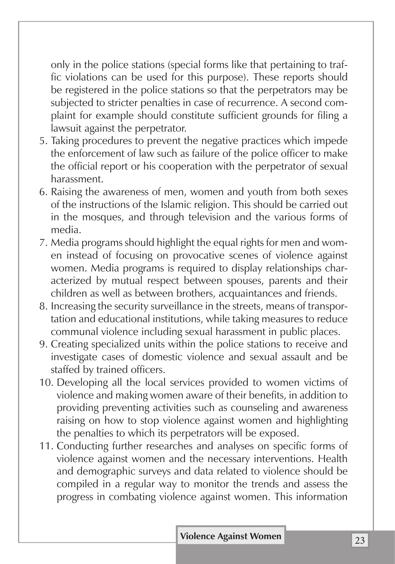only in the police stations (special forms like that pertaining to traffic violations can be used for this purpose). These reports should be registered in the police stations so that the perpetrators may be subjected to stricter penalties in case of recurrence. A second complaint for example should constitute sufficient grounds for filing a lawsuit against the perpetrator.

- 5. Taking procedures to prevent the negative practices which impede the enforcement of law such as failure of the police officer to make the official report or his cooperation with the perpetrator of sexual harassment.
- 6. Raising the awareness of men, women and youth from both sexes of the instructions of the Islamic religion. This should be carried out in the mosques, and through television and the various forms of media.
- 7. Media programs should highlight the equal rights for men and women instead of focusing on provocative scenes of violence against women. Media programs is required to display relationships characterized by mutual respect between spouses, parents and their children as well as between brothers, acquaintances and friends.
- 8. Increasing the security surveillance in the streets, means of transportation and educational institutions, while taking measures to reduce communal violence including sexual harassment in public places.
- 9. Creating specialized units within the police stations to receive and investigate cases of domestic violence and sexual assault and be staffed by trained officers.
- 10. Developing all the local services provided to women victims of violence and making women aware of their benefits, in addition to providing preventing activities such as counseling and awareness raising on how to stop violence against women and highlighting the penalties to which its perpetrators will be exposed.
- 11. Conducting further researches and analyses on specific forms of violence against women and the necessary interventions. Health and demographic surveys and data related to violence should be compiled in a regular way to monitor the trends and assess the progress in combating violence against women. This information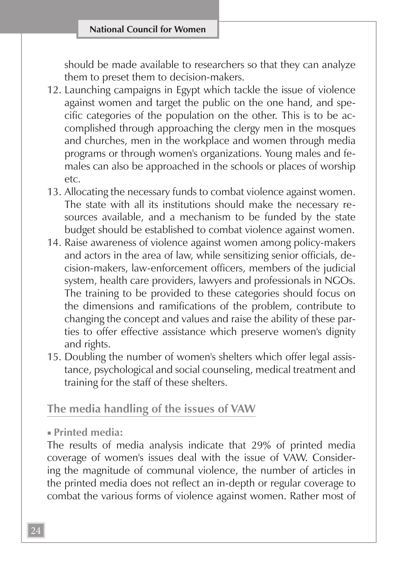should be made available to researchers so that they can analyze them to preset them to decision-makers.

- 12. Launching campaigns in Egypt which tackle the issue of violence against women and target the public on the one hand, and specific categories of the population on the other. This is to be accomplished through approaching the clergy men in the mosques and churches, men in the workplace and women through media programs or through women's organizations. Young males and females can also be approached in the schools or places of worship etc.
- 13. Allocating the necessary funds to combat violence against women. The state with all its institutions should make the necessary resources available, and a mechanism to be funded by the state budget should be established to combat violence against women.
- 14. Raise awareness of violence against women among policy-makers and actors in the area of law, while sensitizing senior officials, decision-makers, law-enforcement officers, members of the judicial system, health care providers, lawyers and professionals in NGOs. The training to be provided to these categories should focus on the dimensions and ramifications of the problem, contribute to changing the concept and values and raise the ability of these parties to offer effective assistance which preserve women's dignity and rights.
- 15. Doubling the number of women's shelters which offer legal assistance, psychological and social counseling, medical treatment and training for the staff of these shelters.

#### **The media handling of the issues of VAW**

■ **Printed media:**

The results of media analysis indicate that 29% of printed media coverage of women's issues deal with the issue of VAW. Considering the magnitude of communal violence, the number of articles in the printed media does not reflect an in-depth or regular coverage to combat the various forms of violence against women. Rather most of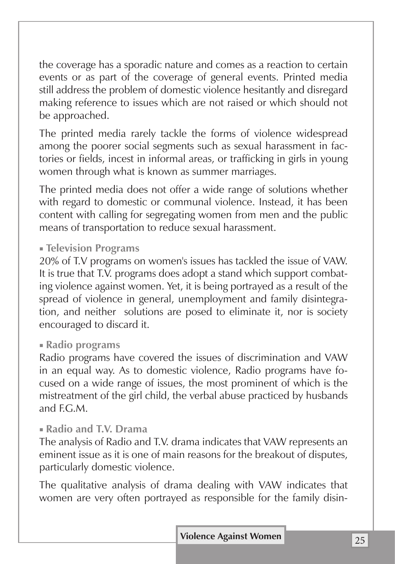the coverage has a sporadic nature and comes as a reaction to certain events or as part of the coverage of general events. Printed media still address the problem of domestic violence hesitantly and disregard making reference to issues which are not raised or which should not be approached.

The printed media rarely tackle the forms of violence widespread among the poorer social segments such as sexual harassment in factories or fields, incest in informal areas, or trafficking in girls in young women through what is known as summer marriages.

The printed media does not offer a wide range of solutions whether with regard to domestic or communal violence. Instead, it has been content with calling for segregating women from men and the public means of transportation to reduce sexual harassment.

#### ■ **Television Programs**

20% of T.V programs on women's issues has tackled the issue of VAW. It is true that T.V. programs does adopt a stand which support combating violence against women. Yet, it is being portrayed as a result of the spread of violence in general, unemployment and family disintegration, and neither solutions are posed to eliminate it, nor is society encouraged to discard it.

#### ■ **Radio programs**

Radio programs have covered the issues of discrimination and VAW in an equal way. As to domestic violence, Radio programs have focused on a wide range of issues, the most prominent of which is the mistreatment of the girl child, the verbal abuse practiced by husbands and  $FCM$ .

#### ■ **Radio and T.V. Drama**

The analysis of Radio and T.V. drama indicates that VAW represents an eminent issue as it is one of main reasons for the breakout of disputes, particularly domestic violence.

The qualitative analysis of drama dealing with VAW indicates that women are very often portrayed as responsible for the family disin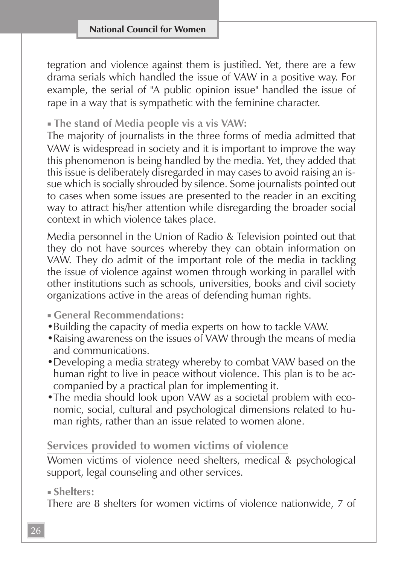tegration and violence against them is justified. Yet, there are a few drama serials which handled the issue of VAW in a positive way. For example, the serial of "A public opinion issue" handled the issue of rape in a way that is sympathetic with the feminine character.

#### ■ **The stand of Media people vis a vis VAW:**

The majority of journalists in the three forms of media admitted that VAW is widespread in society and it is important to improve the way this phenomenon is being handled by the media. Yet, they added that this issue is deliberately disregarded in may cases to avoid raising an issue which is socially shrouded by silence. Some journalists pointed out to cases when some issues are presented to the reader in an exciting way to attract his/her attention while disregarding the broader social context in which violence takes place.

Media personnel in the Union of Radio & Television pointed out that they do not have sources whereby they can obtain information on VAW. They do admit of the important role of the media in tackling the issue of violence against women through working in parallel with other institutions such as schools, universities, books and civil society organizations active in the areas of defending human rights.

- **General Recommendations:**
- •Building the capacity of media experts on how to tackle VAW.
- •Raising awareness on the issues of VAW through the means of media and communications.
- •Developing a media strategy whereby to combat VAW based on the human right to live in peace without violence. This plan is to be accompanied by a practical plan for implementing it.
- •The media should look upon VAW as a societal problem with economic, social, cultural and psychological dimensions related to human rights, rather than an issue related to women alone.

#### **Services provided to women victims of violence**

Women victims of violence need shelters, medical & psychological support, legal counseling and other services.

■ **Shelters:**

There are 8 shelters for women victims of violence nationwide, 7 of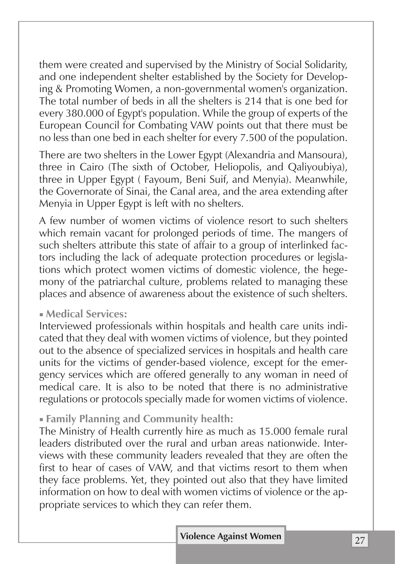them were created and supervised by the Ministry of Social Solidarity, and one independent shelter established by the Society for Developing & Promoting Women, a non-governmental women's organization. The total number of beds in all the shelters is 214 that is one bed for every 380.000 of Egypt's population. While the group of experts of the European Council for Combating VAW points out that there must be no less than one bed in each shelter for every 7.500 of the population.

There are two shelters in the Lower Egypt (Alexandria and Mansoura), three in Cairo (The sixth of October, Heliopolis, and Qaliyoubiya), three in Upper Egypt ( Fayoum, Beni Suif, and Menyia). Meanwhile, the Governorate of Sinai, the Canal area, and the area extending after Menyia in Upper Egypt is left with no shelters.

A few number of women victims of violence resort to such shelters which remain vacant for prolonged periods of time. The mangers of such shelters attribute this state of affair to a group of interlinked factors including the lack of adequate protection procedures or legislations which protect women victims of domestic violence, the hegemony of the patriarchal culture, problems related to managing these places and absence of awareness about the existence of such shelters.

#### ■ **Medical Services:**

Interviewed professionals within hospitals and health care units indicated that they deal with women victims of violence, but they pointed out to the absence of specialized services in hospitals and health care units for the victims of gender-based violence, except for the emergency services which are offered generally to any woman in need of medical care. It is also to be noted that there is no administrative regulations or protocols specially made for women victims of violence.

#### ■ **Family Planning and Community health:**

The Ministry of Health currently hire as much as 15.000 female rural leaders distributed over the rural and urban areas nationwide. Interviews with these community leaders revealed that they are often the first to hear of cases of VAW, and that victims resort to them when they face problems. Yet, they pointed out also that they have limited information on how to deal with women victims of violence or the appropriate services to which they can refer them.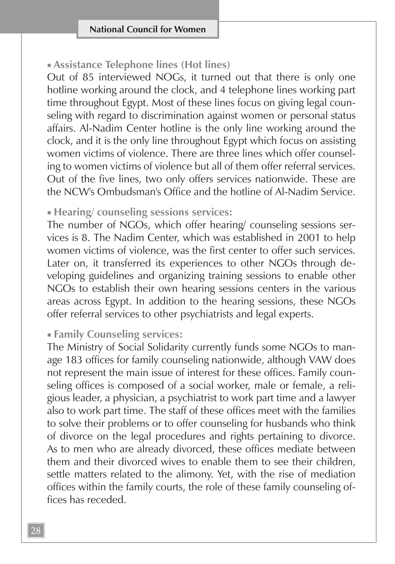#### ■ **Assistance Telephone lines (Hot lines)**

Out of 85 interviewed NOGs, it turned out that there is only one hotline working around the clock, and 4 telephone lines working part time throughout Egypt. Most of these lines focus on giving legal counseling with regard to discrimination against women or personal status affairs. Al-Nadim Center hotline is the only line working around the clock, and it is the only line throughout Egypt which focus on assisting women victims of violence. There are three lines which offer counseling to women victims of violence but all of them offer referral services. Out of the five lines, two only offers services nationwide. These are the NCW's Ombudsman's Office and the hotline of Al-Nadim Service.

#### ■ **Hearing/ counseling sessions services:**

The number of NGOs, which offer hearing/ counseling sessions services is 8. The Nadim Center, which was established in 2001 to help women victims of violence, was the first center to offer such services. Later on, it transferred its experiences to other NGOs through developing guidelines and organizing training sessions to enable other NGOs to establish their own hearing sessions centers in the various areas across Egypt. In addition to the hearing sessions, these NGOs offer referral services to other psychiatrists and legal experts.

#### ■ **Family Counseling services:**

The Ministry of Social Solidarity currently funds some NGOs to manage 183 offices for family counseling nationwide, although VAW does not represent the main issue of interest for these offices. Family counseling offices is composed of a social worker, male or female, a religious leader, a physician, a psychiatrist to work part time and a lawyer also to work part time. The staff of these offices meet with the families to solve their problems or to offer counseling for husbands who think of divorce on the legal procedures and rights pertaining to divorce. As to men who are already divorced, these offices mediate between them and their divorced wives to enable them to see their children, settle matters related to the alimony. Yet, with the rise of mediation offices within the family courts, the role of these family counseling offices has receded.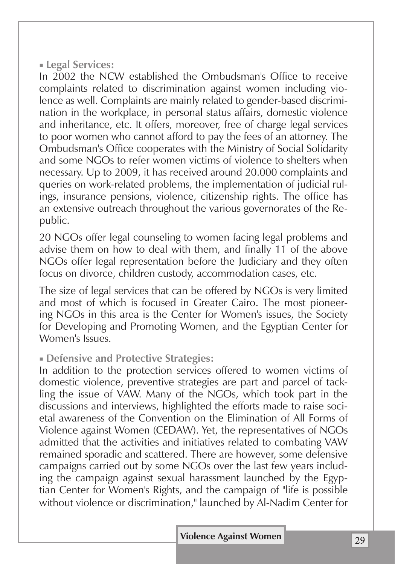#### ■ **Legal Services:**

In 2002 the NCW established the Ombudsman's Office to receive complaints related to discrimination against women including violence as well. Complaints are mainly related to gender-based discrimination in the workplace, in personal status affairs, domestic violence and inheritance, etc. It offers, moreover, free of charge legal services to poor women who cannot afford to pay the fees of an attorney. The Ombudsman's Office cooperates with the Ministry of Social Solidarity and some NGOs to refer women victims of violence to shelters when necessary. Up to 2009, it has received around 20.000 complaints and queries on work-related problems, the implementation of judicial rulings, insurance pensions, violence, citizenship rights. The office has an extensive outreach throughout the various governorates of the Republic.

20 NGOs offer legal counseling to women facing legal problems and advise them on how to deal with them, and finally 11 of the above NGOs offer legal representation before the Judiciary and they often focus on divorce, children custody, accommodation cases, etc.

The size of legal services that can be offered by NGOs is very limited and most of which is focused in Greater Cairo. The most pioneering NGOs in this area is the Center for Women's issues, the Society for Developing and Promoting Women, and the Egyptian Center for Women's Issues.

#### ■ **Defensive and Protective Strategies:**

In addition to the protection services offered to women victims of domestic violence, preventive strategies are part and parcel of tackling the issue of VAW. Many of the NGOs, which took part in the discussions and interviews, highlighted the efforts made to raise societal awareness of the Convention on the Elimination of All Forms of Violence against Women (CEDAW). Yet, the representatives of NGOs admitted that the activities and initiatives related to combating VAW remained sporadic and scattered. There are however, some defensive campaigns carried out by some NGOs over the last few years including the campaign against sexual harassment launched by the Egyptian Center for Women's Rights, and the campaign of "life is possible without violence or discrimination," launched by Al-Nadim Center for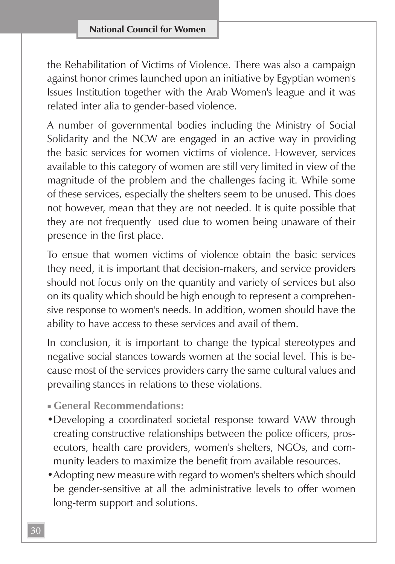the Rehabilitation of Victims of Violence. There was also a campaign against honor crimes launched upon an initiative by Egyptian women's Issues Institution together with the Arab Women's league and it was related inter alia to gender-based violence.

A number of governmental bodies including the Ministry of Social Solidarity and the NCW are engaged in an active way in providing the basic services for women victims of violence. However, services available to this category of women are still very limited in view of the magnitude of the problem and the challenges facing it. While some of these services, especially the shelters seem to be unused. This does not however, mean that they are not needed. It is quite possible that they are not frequently used due to women being unaware of their presence in the first place.

To ensue that women victims of violence obtain the basic services they need, it is important that decision-makers, and service providers should not focus only on the quantity and variety of services but also on its quality which should be high enough to represent a comprehensive response to women's needs. In addition, women should have the ability to have access to these services and avail of them.

In conclusion, it is important to change the typical stereotypes and negative social stances towards women at the social level. This is because most of the services providers carry the same cultural values and prevailing stances in relations to these violations.

- **General Recommendations:**
- •Developing a coordinated societal response toward VAW through creating constructive relationships between the police officers, prosecutors, health care providers, women's shelters, NGOs, and community leaders to maximize the benefit from available resources.
- •Adopting new measure with regard to women's shelters which should be gender-sensitive at all the administrative levels to offer women long-term support and solutions.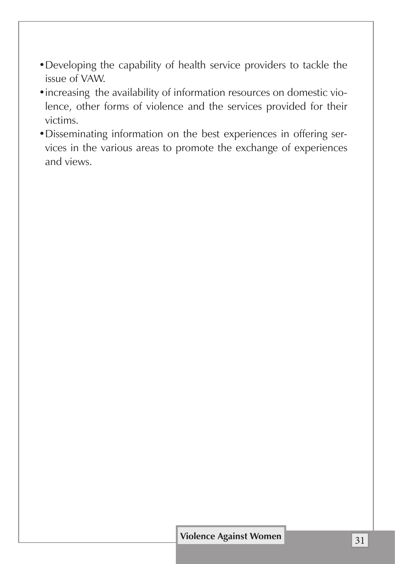- •Developing the capability of health service providers to tackle the issue of VAW.
- •increasing the availability of information resources on domestic violence, other forms of violence and the services provided for their victims.
- •Disseminating information on the best experiences in offering services in the various areas to promote the exchange of experiences and views.